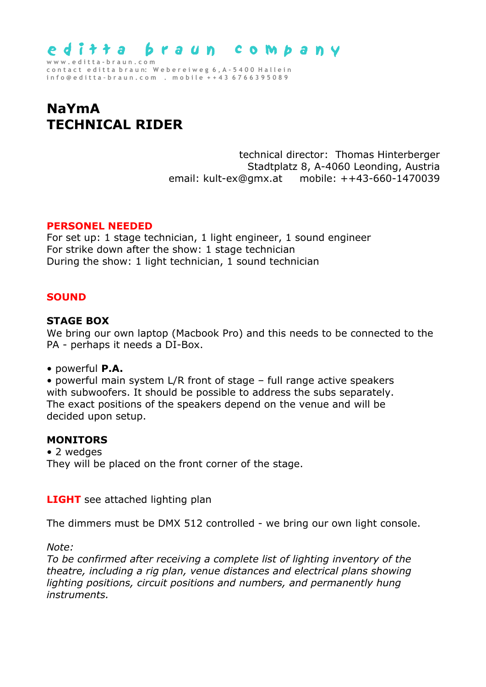

**c o n t a c t e d i t t a b r a u n: W e b e r e i w e g 6 , A - 5 4 0 0 H a l l e i n i n f o @ e d i t t a – b r a u n . c o m . m o b i l e + + 4 3 6 7 6 6 3 9 5 0 8 9** 

# **NaYmA TECHNICAL RIDER**

technical director: Thomas Hinterberger Stadtplatz 8, A-4060 Leonding, Austria email: kult-ex@gmx.at mobile: ++43-660-1470039

# **PERSONEL NEEDED**

For set up: 1 stage technician, 1 light engineer, 1 sound engineer For strike down after the show: 1 stage technician During the show: 1 light technician, 1 sound technician

# **SOUND**

#### **STAGE BOX**

We bring our own laptop (Macbook Pro) and this needs to be connected to the PA - perhaps it needs a DI-Box.

• powerful **P.A.**

• powerful main system L/R front of stage – full range active speakers with subwoofers. It should be possible to address the subs separately. The exact positions of the speakers depend on the venue and will be decided upon setup.

#### **MONITORS**

• 2 wedges They will be placed on the front corner of the stage.

**LIGHT** see attached lighting plan

The dimmers must be DMX 512 controlled - we bring our own light console.

*Note:* 

*To be confirmed after receiving a complete list of lighting inventory of the theatre, including a rig plan, venue distances and electrical plans showing lighting positions, circuit positions and numbers, and permanently hung instruments.*